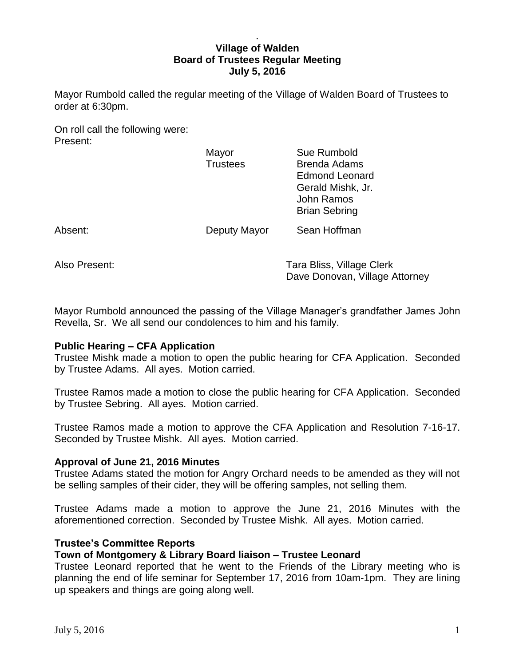## . **Village of Walden Board of Trustees Regular Meeting July 5, 2016**

Mayor Rumbold called the regular meeting of the Village of Walden Board of Trustees to order at 6:30pm.

On roll call the following were: Present:

|         | Mayor<br><b>Trustees</b> | Sue Rumbold<br><b>Brenda Adams</b><br><b>Edmond Leonard</b><br>Gerald Mishk, Jr.<br><b>John Ramos</b><br><b>Brian Sebring</b> |
|---------|--------------------------|-------------------------------------------------------------------------------------------------------------------------------|
| Absent: | Deputy Mayor             | Sean Hoffman                                                                                                                  |
|         |                          |                                                                                                                               |

Also Present: Tara Bliss, Village Clerk Dave Donovan, Village Attorney

Mayor Rumbold announced the passing of the Village Manager's grandfather James John Revella, Sr. We all send our condolences to him and his family.

# **Public Hearing – CFA Application**

Trustee Mishk made a motion to open the public hearing for CFA Application. Seconded by Trustee Adams. All ayes. Motion carried.

Trustee Ramos made a motion to close the public hearing for CFA Application. Seconded by Trustee Sebring. All ayes. Motion carried.

Trustee Ramos made a motion to approve the CFA Application and Resolution 7-16-17. Seconded by Trustee Mishk. All ayes. Motion carried.

# **Approval of June 21, 2016 Minutes**

Trustee Adams stated the motion for Angry Orchard needs to be amended as they will not be selling samples of their cider, they will be offering samples, not selling them.

Trustee Adams made a motion to approve the June 21, 2016 Minutes with the aforementioned correction. Seconded by Trustee Mishk. All ayes. Motion carried.

# **Trustee's Committee Reports**

# **Town of Montgomery & Library Board liaison – Trustee Leonard**

Trustee Leonard reported that he went to the Friends of the Library meeting who is planning the end of life seminar for September 17, 2016 from 10am-1pm. They are lining up speakers and things are going along well.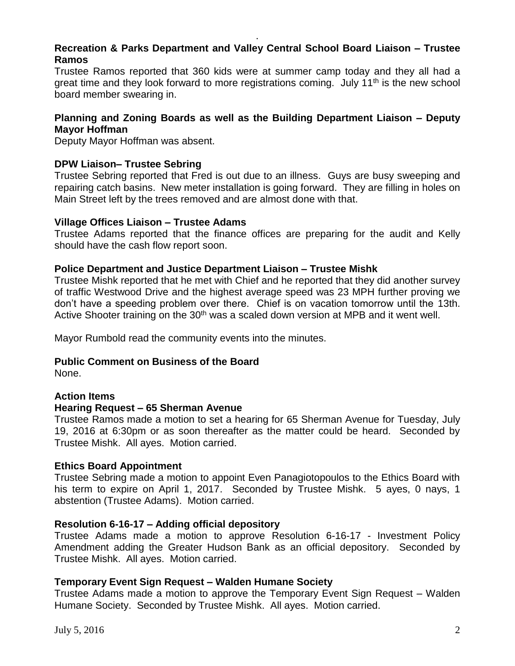# **Recreation & Parks Department and Valley Central School Board Liaison – Trustee Ramos**

.

Trustee Ramos reported that 360 kids were at summer camp today and they all had a great time and they look forward to more registrations coming. July 11<sup>th</sup> is the new school board member swearing in.

# **Planning and Zoning Boards as well as the Building Department Liaison – Deputy Mayor Hoffman**

Deputy Mayor Hoffman was absent.

## **DPW Liaison– Trustee Sebring**

Trustee Sebring reported that Fred is out due to an illness. Guys are busy sweeping and repairing catch basins. New meter installation is going forward. They are filling in holes on Main Street left by the trees removed and are almost done with that.

### **Village Offices Liaison – Trustee Adams**

Trustee Adams reported that the finance offices are preparing for the audit and Kelly should have the cash flow report soon.

## **Police Department and Justice Department Liaison – Trustee Mishk**

Trustee Mishk reported that he met with Chief and he reported that they did another survey of traffic Westwood Drive and the highest average speed was 23 MPH further proving we don't have a speeding problem over there. Chief is on vacation tomorrow until the 13th. Active Shooter training on the 30<sup>th</sup> was a scaled down version at MPB and it went well.

Mayor Rumbold read the community events into the minutes.

## **Public Comment on Business of the Board**

None.

### **Action Items**

### **Hearing Request – 65 Sherman Avenue**

Trustee Ramos made a motion to set a hearing for 65 Sherman Avenue for Tuesday, July 19, 2016 at 6:30pm or as soon thereafter as the matter could be heard. Seconded by Trustee Mishk. All ayes. Motion carried.

### **Ethics Board Appointment**

Trustee Sebring made a motion to appoint Even Panagiotopoulos to the Ethics Board with his term to expire on April 1, 2017. Seconded by Trustee Mishk. 5 ayes, 0 nays, 1 abstention (Trustee Adams). Motion carried.

# **Resolution 6-16-17 – Adding official depository**

Trustee Adams made a motion to approve Resolution 6-16-17 - Investment Policy Amendment adding the Greater Hudson Bank as an official depository. Seconded by Trustee Mishk. All ayes. Motion carried.

# **Temporary Event Sign Request – Walden Humane Society**

Trustee Adams made a motion to approve the Temporary Event Sign Request – Walden Humane Society. Seconded by Trustee Mishk. All ayes. Motion carried.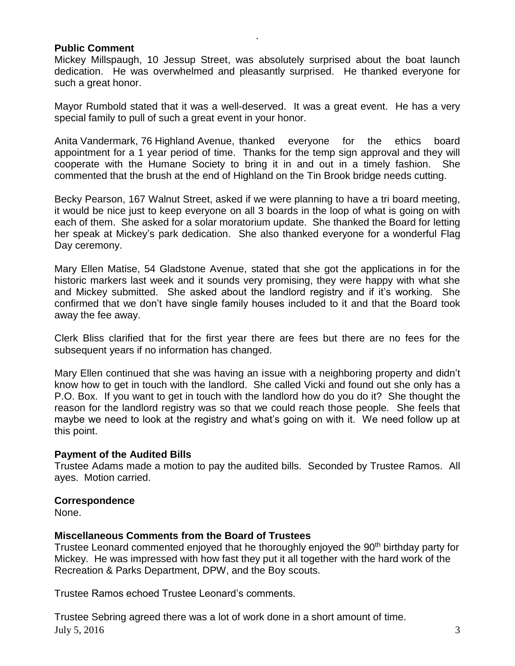### **Public Comment**

Mickey Millspaugh, 10 Jessup Street, was absolutely surprised about the boat launch dedication. He was overwhelmed and pleasantly surprised. He thanked everyone for such a great honor.

.

Mayor Rumbold stated that it was a well-deserved. It was a great event. He has a very special family to pull of such a great event in your honor.

Anita Vandermark, 76 Highland Avenue, thanked everyone for the ethics board appointment for a 1 year period of time. Thanks for the temp sign approval and they will cooperate with the Humane Society to bring it in and out in a timely fashion. She commented that the brush at the end of Highland on the Tin Brook bridge needs cutting.

Becky Pearson, 167 Walnut Street, asked if we were planning to have a tri board meeting, it would be nice just to keep everyone on all 3 boards in the loop of what is going on with each of them. She asked for a solar moratorium update. She thanked the Board for letting her speak at Mickey's park dedication. She also thanked everyone for a wonderful Flag Day ceremony.

Mary Ellen Matise, 54 Gladstone Avenue, stated that she got the applications in for the historic markers last week and it sounds very promising, they were happy with what she and Mickey submitted. She asked about the landlord registry and if it's working. She confirmed that we don't have single family houses included to it and that the Board took away the fee away.

Clerk Bliss clarified that for the first year there are fees but there are no fees for the subsequent years if no information has changed.

Mary Ellen continued that she was having an issue with a neighboring property and didn't know how to get in touch with the landlord. She called Vicki and found out she only has a P.O. Box. If you want to get in touch with the landlord how do you do it? She thought the reason for the landlord registry was so that we could reach those people. She feels that maybe we need to look at the registry and what's going on with it. We need follow up at this point.

# **Payment of the Audited Bills**

Trustee Adams made a motion to pay the audited bills. Seconded by Trustee Ramos. All ayes. Motion carried.

### **Correspondence**

None.

# **Miscellaneous Comments from the Board of Trustees**

Trustee Leonard commented enjoyed that he thoroughly enjoyed the 90<sup>th</sup> birthday party for Mickey. He was impressed with how fast they put it all together with the hard work of the Recreation & Parks Department, DPW, and the Boy scouts.

Trustee Ramos echoed Trustee Leonard's comments.

July 5, 2016  $\frac{3}{3}$ Trustee Sebring agreed there was a lot of work done in a short amount of time.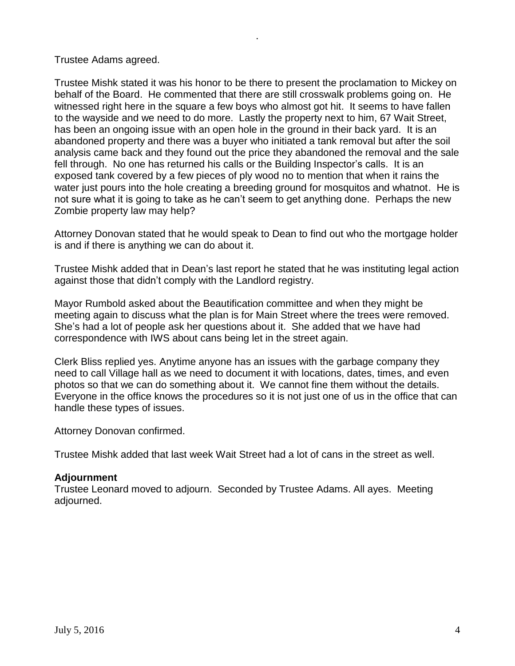Trustee Adams agreed.

Trustee Mishk stated it was his honor to be there to present the proclamation to Mickey on behalf of the Board. He commented that there are still crosswalk problems going on. He witnessed right here in the square a few boys who almost got hit. It seems to have fallen to the wayside and we need to do more. Lastly the property next to him, 67 Wait Street, has been an ongoing issue with an open hole in the ground in their back yard. It is an abandoned property and there was a buyer who initiated a tank removal but after the soil analysis came back and they found out the price they abandoned the removal and the sale fell through. No one has returned his calls or the Building Inspector's calls. It is an exposed tank covered by a few pieces of ply wood no to mention that when it rains the water just pours into the hole creating a breeding ground for mosquitos and whatnot. He is not sure what it is going to take as he can't seem to get anything done. Perhaps the new Zombie property law may help?

.

Attorney Donovan stated that he would speak to Dean to find out who the mortgage holder is and if there is anything we can do about it.

Trustee Mishk added that in Dean's last report he stated that he was instituting legal action against those that didn't comply with the Landlord registry.

Mayor Rumbold asked about the Beautification committee and when they might be meeting again to discuss what the plan is for Main Street where the trees were removed. She's had a lot of people ask her questions about it. She added that we have had correspondence with IWS about cans being let in the street again.

Clerk Bliss replied yes. Anytime anyone has an issues with the garbage company they need to call Village hall as we need to document it with locations, dates, times, and even photos so that we can do something about it. We cannot fine them without the details. Everyone in the office knows the procedures so it is not just one of us in the office that can handle these types of issues.

Attorney Donovan confirmed.

Trustee Mishk added that last week Wait Street had a lot of cans in the street as well.

# **Adjournment**

Trustee Leonard moved to adjourn. Seconded by Trustee Adams. All ayes. Meeting adjourned.